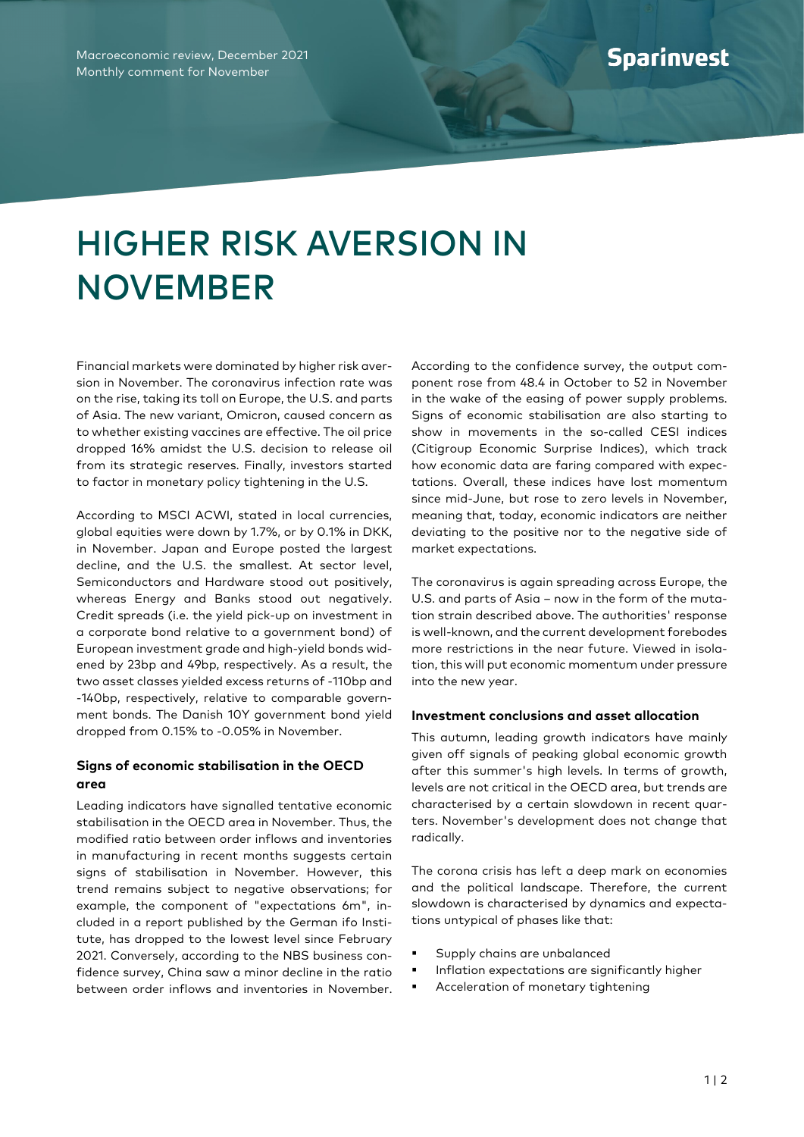## HIGHER RISK AVERSION IN NOVEMBER

Financial markets were dominated by higher risk aversion in November. The coronavirus infection rate was on the rise, taking its toll on Europe, the U.S. and parts of Asia. The new variant, Omicron, caused concern as to whether existing vaccines are effective. The oil price dropped 16% amidst the U.S. decision to release oil from its strategic reserves. Finally, investors started to factor in monetary policy tightening in the U.S.

According to MSCI ACWI, stated in local currencies, global equities were down by 1.7%, or by 0.1% in DKK, in November. Japan and Europe posted the largest decline, and the U.S. the smallest. At sector level, Semiconductors and Hardware stood out positively, whereas Energy and Banks stood out negatively. Credit spreads (i.e. the yield pick-up on investment in a corporate bond relative to a government bond) of European investment grade and high-yield bonds widened by 23bp and 49bp, respectively. As a result, the two asset classes yielded excess returns of -110bp and -140bp, respectively, relative to comparable government bonds. The Danish 10Y government bond yield dropped from 0.15% to -0.05% in November.

## **Signs of economic stabilisation in the OECD area**

Leading indicators have signalled tentative economic stabilisation in the OECD area in November. Thus, the modified ratio between order inflows and inventories in manufacturing in recent months suggests certain signs of stabilisation in November. However, this trend remains subject to negative observations; for example, the component of "expectations 6m", included in a report published by the German ifo Institute, has dropped to the lowest level since February 2021. Conversely, according to the NBS business confidence survey, China saw a minor decline in the ratio between order inflows and inventories in November. According to the confidence survey, the output component rose from 48.4 in October to 52 in November in the wake of the easing of power supply problems. Signs of economic stabilisation are also starting to show in movements in the so-called CESI indices (Citigroup Economic Surprise Indices), which track how economic data are faring compared with expectations. Overall, these indices have lost momentum since mid-June, but rose to zero levels in November, meaning that, today, economic indicators are neither deviating to the positive nor to the negative side of market expectations.

The coronavirus is again spreading across Europe, the U.S. and parts of Asia – now in the form of the mutation strain described above. The authorities' response is well-known, and the current development forebodes more restrictions in the near future. Viewed in isolation, this will put economic momentum under pressure into the new year.

## **Investment conclusions and asset allocation**

This autumn, leading growth indicators have mainly given off signals of peaking global economic growth after this summer's high levels. In terms of growth, levels are not critical in the OECD area, but trends are characterised by a certain slowdown in recent quarters. November's development does not change that radically.

The corona crisis has left a deep mark on economies and the political landscape. Therefore, the current slowdown is characterised by dynamics and expectations untypical of phases like that:

- Supply chains are unbalanced
- Inflation expectations are significantly higher
- Acceleration of monetary tightening